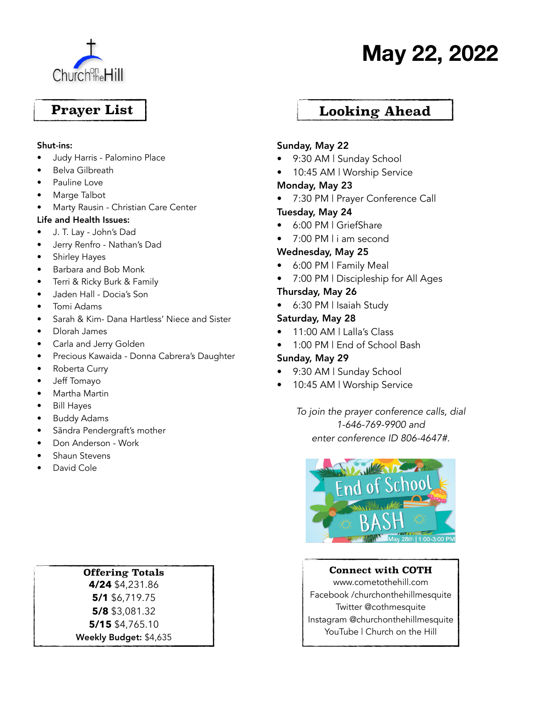

# **May 22, 2022**

## **Prayer List**

#### Shut-ins:

- Judy Harris Palomino Place
- Belva Gilbreath
- Pauline Love
- Marge Talbot
- Marty Rausin Christian Care Center

#### Life and Health Issues:

- J. T. Lay John's Dad
- Jerry Renfro Nathan's Dad
- Shirley Hayes
- Barbara and Bob Monk
- Terri & Ricky Burk & Family
- Jaden Hall Docia's Son
- Tomi Adams
- Sarah & Kim- Dana Hartless' Niece and Sister
- Dlorah James
- Carla and Jerry Golden
- Precious Kawaida Donna Cabrera's Daughter
- Roberta Curry
- Jeff Tomayo
- Martha Martin
- Bill Hayes
- Buddy Adams
- Sãndra Pendergraft's mother
- Don Anderson Work
- Shaun Stevens
- David Cole

#### **Offering Totals**

**4/24** \$4,231.86 **5/1** \$6,719.75 **5/8** \$3,081.32 **5/15** \$4,765.10 Weekly Budget: \$4,635

### **Looking Ahead**

#### Sunday, May 22

- 9:30 AM | Sunday School
- 10:45 AM | Worship Service

#### Monday, May 23

• 7:30 PM | Prayer Conference Call

#### Tuesday, May 24

- 6:00 PM | GriefShare
- 7:00 PM I i am second

#### Wednesday, May 25

- 6:00 PM | Family Meal
- 7:00 PM | Discipleship for All Ages

#### Thursday, May 26

• 6:30 PM | Isaiah Study

#### Saturday, May 28

- 11:00 AM | Lalla's Class
- 1:00 PM | End of School Bash

#### Sunday, May 29

- 9:30 AM | Sunday School
- 10:45 AM | Worship Service

*To join the prayer conference calls, dial 1-646-769-9900 and enter conference ID 806-4647#.*



#### **Connect with COTH**

www.cometothehill.com Facebook /churchonthehillmesquite Twitter @cothmesquite Instagram @churchonthehillmesquite YouTube | Church on the Hill